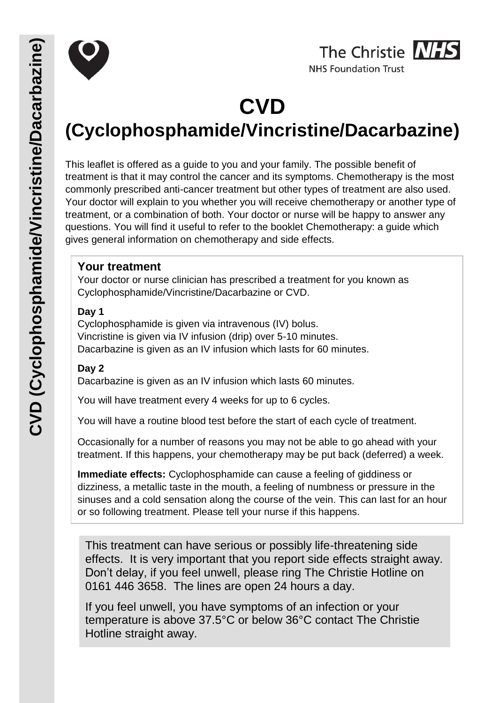

# The Christie **NHS**

**NHS Foundation Trust** 

## **CVD**

## **(Cyclophosphamide/Vincristine/Dacarbazine)**

This leaflet is offered as a guide to you and your family. The possible benefit of treatment is that it may control the cancer and its symptoms. Chemotherapy is the most commonly prescribed anti-cancer treatment but other types of treatment are also used. Your doctor will explain to you whether you will receive chemotherapy or another type of treatment, or a combination of both. Your doctor or nurse will be happy to answer any questions. You will find it useful to refer to the booklet Chemotherapy: a guide which gives general information on chemotherapy and side effects.

### **Your treatment**

Your doctor or nurse clinician has prescribed a treatment for you known as Cyclophosphamide/Vincristine/Dacarbazine or CVD.

#### **Day 1**

Cyclophosphamide is given via intravenous (IV) bolus. Vincristine is given via IV infusion (drip) over 5-10 minutes. Dacarbazine is given as an IV infusion which lasts for 60 minutes.

#### **Day 2**

Dacarbazine is given as an IV infusion which lasts 60 minutes.

You will have treatment every 4 weeks for up to 6 cycles.

You will have a routine blood test before the start of each cycle of treatment.

Occasionally for a number of reasons you may not be able to go ahead with your treatment. If this happens, your chemotherapy may be put back (deferred) a week.

**Immediate effects:** Cyclophosphamide can cause a feeling of giddiness or dizziness, a metallic taste in the mouth, a feeling of numbness or pressure in the sinuses and a cold sensation along the course of the vein. This can last for an hour or so following treatment. Please tell your nurse if this happens.

0161 446 3658. The lines are open 24 hours a day. This treatment can have serious or possibly life-threatening side effects. It is very important that you report side effects straight away. Don't delay, if you feel unwell, please ring The Christie Hotline on

If you feel unwell, you have symptoms of an infection or your temperature is above 37.5°C or below 36°C contact The Christie Hotline straight away.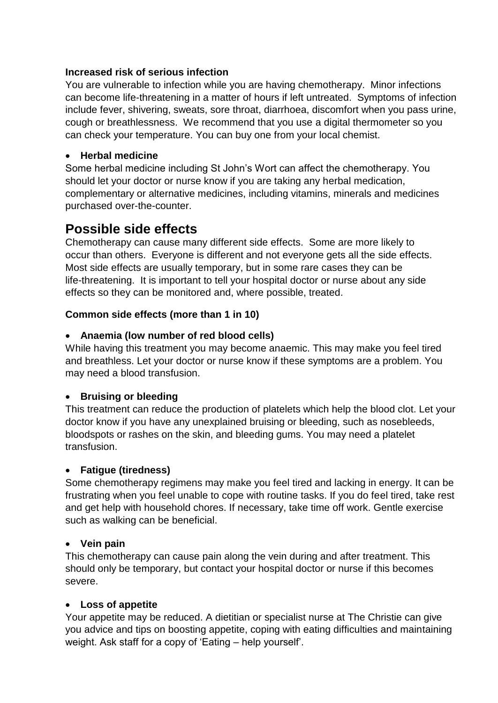#### **Increased risk of serious infection**

You are vulnerable to infection while you are having chemotherapy. Minor infections can become life-threatening in a matter of hours if left untreated. Symptoms of infection include fever, shivering, sweats, sore throat, diarrhoea, discomfort when you pass urine, cough or breathlessness. We recommend that you use a digital thermometer so you can check your temperature. You can buy one from your local chemist.

#### **Herbal medicine**

Some herbal medicine including St John's Wort can affect the chemotherapy. You should let your doctor or nurse know if you are taking any herbal medication, complementary or alternative medicines, including vitamins, minerals and medicines purchased over-the-counter.

### **Possible side effects**

Chemotherapy can cause many different side effects. Some are more likely to occur than others. Everyone is different and not everyone gets all the side effects. Most side effects are usually temporary, but in some rare cases they can be life-threatening. It is important to tell your hospital doctor or nurse about any side effects so they can be monitored and, where possible, treated.

#### **Common side effects (more than 1 in 10)**

#### **Anaemia (low number of red blood cells)**

While having this treatment you may become anaemic. This may make you feel tired and breathless. Let your doctor or nurse know if these symptoms are a problem. You may need a blood transfusion.

#### **Bruising or bleeding**

This treatment can reduce the production of platelets which help the blood clot. Let your doctor know if you have any unexplained bruising or bleeding, such as nosebleeds, bloodspots or rashes on the skin, and bleeding gums. You may need a platelet transfusion.

#### **Fatigue (tiredness)**

Some chemotherapy regimens may make you feel tired and lacking in energy. It can be frustrating when you feel unable to cope with routine tasks. If you do feel tired, take rest and get help with household chores. If necessary, take time off work. Gentle exercise such as walking can be beneficial.

#### **Vein pain**

This chemotherapy can cause pain along the vein during and after treatment. This should only be temporary, but contact your hospital doctor or nurse if this becomes severe.

#### **Loss of appetite**

Your appetite may be reduced. A dietitian or specialist nurse at The Christie can give you advice and tips on boosting appetite, coping with eating difficulties and maintaining weight. Ask staff for a copy of 'Eating – help yourself'.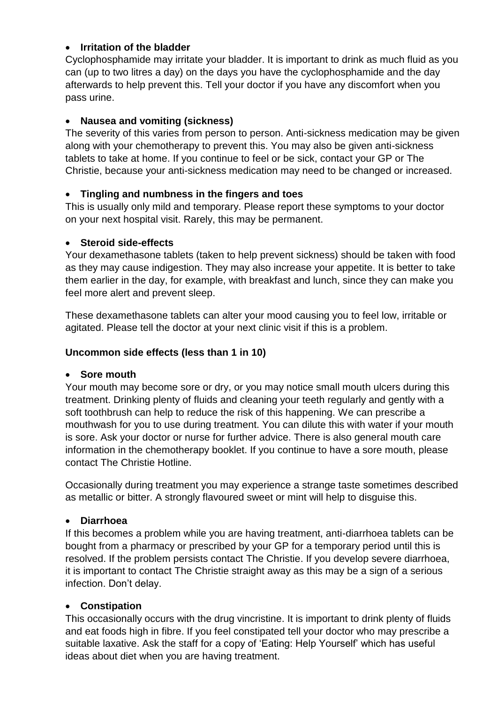#### **Irritation of the bladder**

Cyclophosphamide may irritate your bladder. It is important to drink as much fluid as you can (up to two litres a day) on the days you have the cyclophosphamide and the day afterwards to help prevent this. Tell your doctor if you have any discomfort when you pass urine.

#### **Nausea and vomiting (sickness)**

The severity of this varies from person to person. Anti-sickness medication may be given along with your chemotherapy to prevent this. You may also be given anti-sickness tablets to take at home. If you continue to feel or be sick, contact your GP or The Christie, because your anti-sickness medication may need to be changed or increased.

#### **Tingling and numbness in the fingers and toes**

This is usually only mild and temporary. Please report these symptoms to your doctor on your next hospital visit. Rarely, this may be permanent.

#### **Steroid side-effects**

Your dexamethasone tablets (taken to help prevent sickness) should be taken with food as they may cause indigestion. They may also increase your appetite. It is better to take them earlier in the day, for example, with breakfast and lunch, since they can make you feel more alert and prevent sleep.

These dexamethasone tablets can alter your mood causing you to feel low, irritable or agitated. Please tell the doctor at your next clinic visit if this is a problem.

#### **Uncommon side effects (less than 1 in 10)**

#### **Sore mouth**

Your mouth may become sore or dry, or you may notice small mouth ulcers during this treatment. Drinking plenty of fluids and cleaning your teeth regularly and gently with a soft toothbrush can help to reduce the risk of this happening. We can prescribe a mouthwash for you to use during treatment. You can dilute this with water if your mouth is sore. Ask your doctor or nurse for further advice. There is also general mouth care information in the chemotherapy booklet. If you continue to have a sore mouth, please contact The Christie Hotline.

Occasionally during treatment you may experience a strange taste sometimes described as metallic or bitter. A strongly flavoured sweet or mint will help to disguise this.

#### **Diarrhoea**

If this becomes a problem while you are having treatment, anti-diarrhoea tablets can be bought from a pharmacy or prescribed by your GP for a temporary period until this is resolved. If the problem persists contact The Christie. If you develop severe diarrhoea, it is important to contact The Christie straight away as this may be a sign of a serious infection. Don't delay.

#### **Constipation**

This occasionally occurs with the drug vincristine. It is important to drink plenty of fluids and eat foods high in fibre. If you feel constipated tell your doctor who may prescribe a suitable laxative. Ask the staff for a copy of 'Eating: Help Yourself' which has useful ideas about diet when you are having treatment.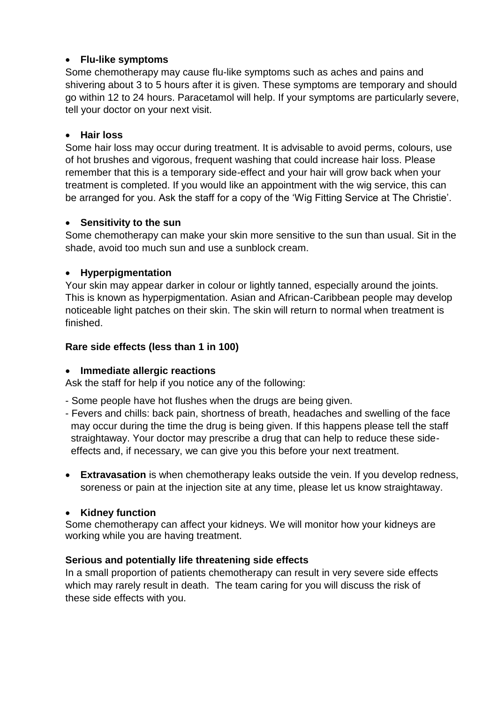#### **Flu-like symptoms**

Some chemotherapy may cause flu-like symptoms such as aches and pains and shivering about 3 to 5 hours after it is given. These symptoms are temporary and should go within 12 to 24 hours. Paracetamol will help. If your symptoms are particularly severe, tell your doctor on your next visit.

#### **Hair loss**

Some hair loss may occur during treatment. It is advisable to avoid perms, colours, use of hot brushes and vigorous, frequent washing that could increase hair loss. Please remember that this is a temporary side-effect and your hair will grow back when your treatment is completed. If you would like an appointment with the wig service, this can be arranged for you. Ask the staff for a copy of the 'Wig Fitting Service at The Christie'.

#### **Sensitivity to the sun**

Some chemotherapy can make your skin more sensitive to the sun than usual. Sit in the shade, avoid too much sun and use a sunblock cream.

#### **Hyperpigmentation**

Your skin may appear darker in colour or lightly tanned, especially around the joints. This is known as hyperpigmentation. Asian and African-Caribbean people may develop noticeable light patches on their skin. The skin will return to normal when treatment is finished.

#### **Rare side effects (less than 1 in 100)**

#### **Immediate allergic reactions**

Ask the staff for help if you notice any of the following:

- Some people have hot flushes when the drugs are being given.
- Fevers and chills: back pain, shortness of breath, headaches and swelling of the face may occur during the time the drug is being given. If this happens please tell the staff straightaway. Your doctor may prescribe a drug that can help to reduce these side effects and, if necessary, we can give you this before your next treatment.
- **Extravasation** is when chemotherapy leaks outside the vein. If you develop redness, soreness or pain at the injection site at any time, please let us know straightaway.

#### **Kidney function**

Some chemotherapy can affect your kidneys. We will monitor how your kidneys are working while you are having treatment.

#### **Serious and potentially life threatening side effects**

In a small proportion of patients chemotherapy can result in very severe side effects which may rarely result in death. The team caring for you will discuss the risk of these side effects with you.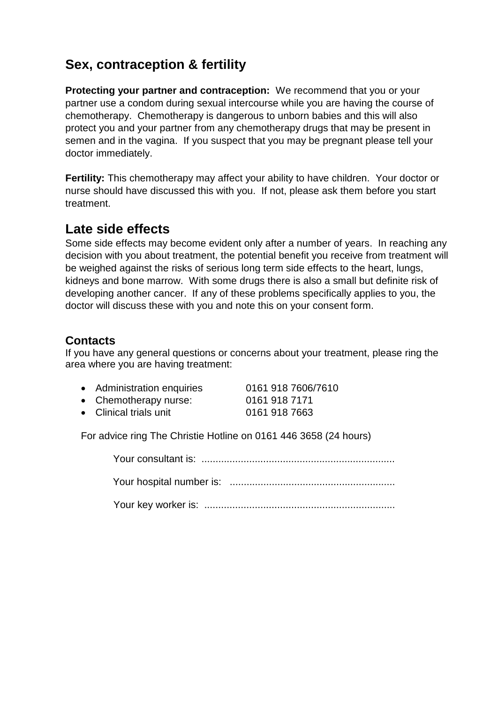## **Sex, contraception & fertility**

**Protecting your partner and contraception:** We recommend that you or your partner use a condom during sexual intercourse while you are having the course of chemotherapy. Chemotherapy is dangerous to unborn babies and this will also protect you and your partner from any chemotherapy drugs that may be present in semen and in the vagina. If you suspect that you may be pregnant please tell your doctor immediately.

**Fertility:** This chemotherapy may affect your ability to have children. Your doctor or nurse should have discussed this with you. If not, please ask them before you start treatment.

## **Late side effects**

Some side effects may become evident only after a number of years. In reaching any decision with you about treatment, the potential benefit you receive from treatment will be weighed against the risks of serious long term side effects to the heart, lungs, kidneys and bone marrow. With some drugs there is also a small but definite risk of developing another cancer. If any of these problems specifically applies to you, the doctor will discuss these with you and note this on your consent form.

#### **Contacts**

If you have any general questions or concerns about your treatment, please ring the area where you are having treatment:

- Administration enquiries 0161 918 7606/7610
- Chemotherapy nurse: 0161 918 7171
- Clinical trials unit 0161 918 7663

For advice ring The Christie Hotline on 0161 446 3658 (24 hours)

Your consultant is: .....................................................................

Your hospital number is: ...........................................................

Your key worker is: ....................................................................